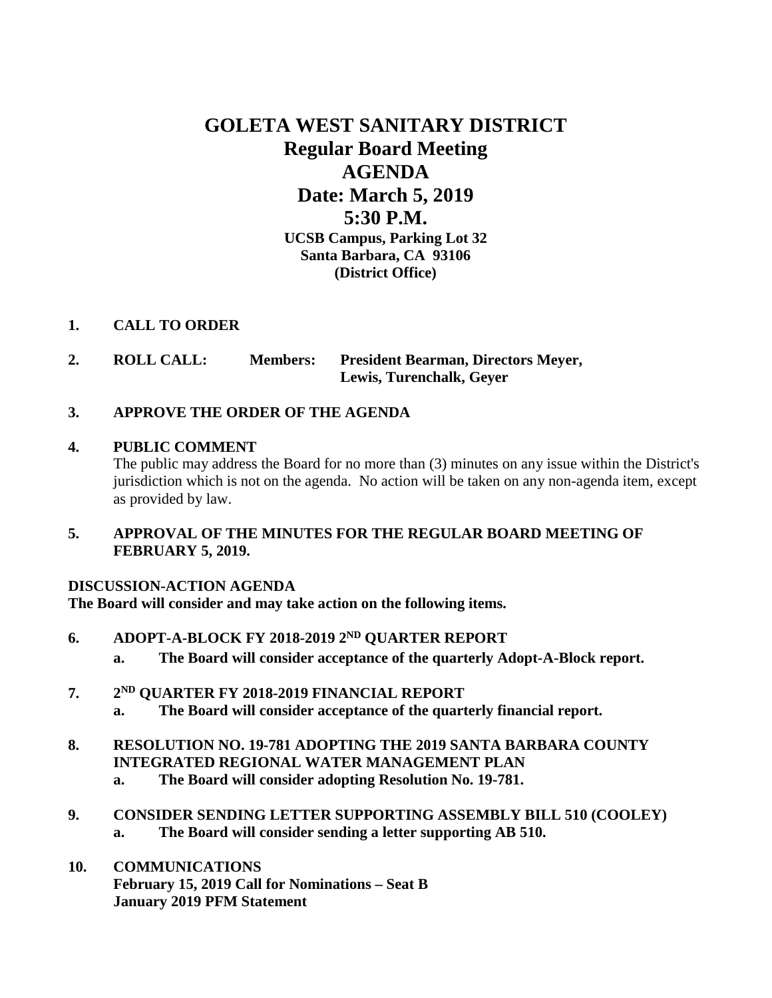# **GOLETA WEST SANITARY DISTRICT Regular Board Meeting AGENDA Date: March 5, 2019 5:30 P.M. UCSB Campus, Parking Lot 32 Santa Barbara, CA 93106 (District Office)**

## **1. CALL TO ORDER**

- **2. ROLL CALL: Members: President Bearman, Directors Meyer, Lewis, Turenchalk, Geyer**
- **3. APPROVE THE ORDER OF THE AGENDA**

# **4. PUBLIC COMMENT**

The public may address the Board for no more than (3) minutes on any issue within the District's jurisdiction which is not on the agenda. No action will be taken on any non-agenda item, except as provided by law.

**5. APPROVAL OF THE MINUTES FOR THE REGULAR BOARD MEETING OF FEBRUARY 5, 2019.**

# **DISCUSSION-ACTION AGENDA**

**The Board will consider and may take action on the following items.**

- **6. ADOPT-A-BLOCK FY 2018-2019 2ND QUARTER REPORT**
	- **a. The Board will consider acceptance of the quarterly Adopt-A-Block report.**
- **7. 2ND QUARTER FY 2018-2019 FINANCIAL REPORT a. The Board will consider acceptance of the quarterly financial report.**
- **8. RESOLUTION NO. 19-781 ADOPTING THE 2019 SANTA BARBARA COUNTY INTEGRATED REGIONAL WATER MANAGEMENT PLAN**
	- **a. The Board will consider adopting Resolution No. 19-781.**
- **9. CONSIDER SENDING LETTER SUPPORTING ASSEMBLY BILL 510 (COOLEY) a. The Board will consider sending a letter supporting AB 510.**
- **10. COMMUNICATIONS February 15, 2019 Call for Nominations – Seat B January 2019 PFM Statement**